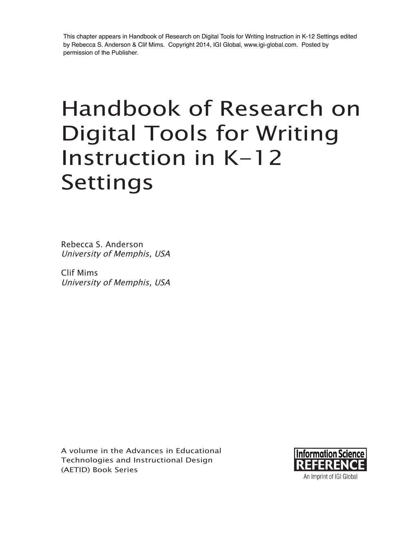This chapter appears in Handbook of Research on Digital Tools for Writing Instruction in K-12 Settings edited by Rebecca S. Anderson & Clif Mims. Copyright 2014, IGI Global, www.igi-global.com. Posted by permission of the Publisher.

# Handbook of Research on Digital Tools for Writing Instruction in  $K-12$ Settings

Rebecca S. Anderson University of Memphis, USA

Clif Mims University of Memphis, USA

A volume in the Advances in Educational Technologies and Instructional Design (AETID) Book Series

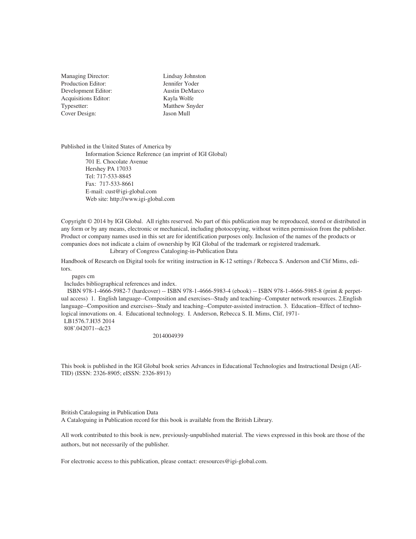Managing Director: Production Editor: Development Editor: Acquisitions Editor: Typesetter: Cover Design:

Lindsay Johnston Jennifer Yoder Austin DeMarco Kayla Wolfe Matthew Snyder Jason Mull

Published in the United States of America by Information Science Reference (an imprint of IGI Global) 701 E. Chocolate Avenue Hershey PA 17033 Tel: 717-533-8845 Fax: 717-533-8661 E-mail: cust@igi-global.com Web site: http://www.igi-global.com

Copyright © 2014 by IGI Global. All rights reserved. No part of this publication may be reproduced, stored or distributed in any form or by any means, electronic or mechanical, including photocopying, without written permission from the publisher. Product or company names used in this set are for identification purposes only. Inclusion of the names of the products or companies does not indicate a claim of ownership by IGI Global of the trademark or registered trademark. Library of Congress Cataloging-in-Publication Data

Handbook of Research on Digital tools for writing instruction in K-12 settings / Rebecca S. Anderson and Clif Mims, editors.

pages cm

Includes bibliographical references and index.

 ISBN 978-1-4666-5982-7 (hardcover) -- ISBN 978-1-4666-5983-4 (ebook) -- ISBN 978-1-4666-5985-8 (print & perpetual access) 1. English language--Composition and exercises--Study and teaching--Computer network resources. 2.English language--Composition and exercises--Study and teaching--Computer-assisted instruction. 3. Education--Effect of technological innovations on. 4. Educational technology. I. Anderson, Rebecca S. II. Mims, Clif, 1971-

 LB1576.7.H35 2014 808'.042071--dc23

2014004939

This book is published in the IGI Global book series Advances in Educational Technologies and Instructional Design (AE-TID) (ISSN: 2326-8905; eISSN: 2326-8913)

British Cataloguing in Publication Data

A Cataloguing in Publication record for this book is available from the British Library.

All work contributed to this book is new, previously-unpublished material. The views expressed in this book are those of the authors, but not necessarily of the publisher.

For electronic access to this publication, please contact: eresources@igi-global.com.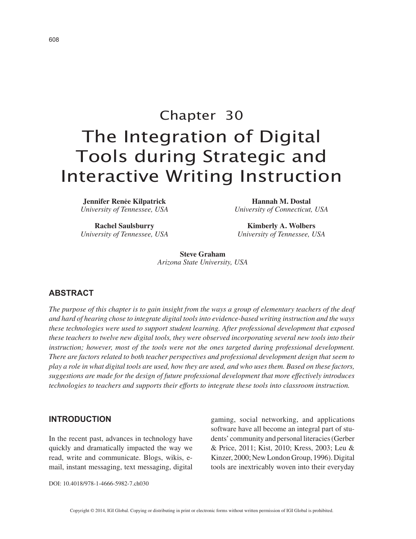# Chapter 30 The Integration of Digital Tools during Strategic and Interactive Writing Instruction

**Jennifer Renėe Kilpatrick** *University of Tennessee, USA*

**Rachel Saulsburry** *University of Tennessee, USA*

**Hannah M. Dostal** *University of Connecticut, USA*

**Kimberly A. Wolbers** *University of Tennessee, USA*

**Steve Graham** *Arizona State University, USA*

#### $ABSTRACT$

*The purpose of this chapter is to gain insight from the ways a group of elementary teachers of the deaf and hard of hearing chose to integrate digital tools into evidence-based writing instruction and the ways these technologies were used to support student learning. After professional development that exposed these teachers to twelve new digital tools, they were observed incorporating several new tools into their instruction; however, most of the tools were not the ones targeted during professional development. There are factors related to both teacher perspectives and professional development design that seem to play a role in what digital tools are used, how they are used, and who uses them. Based on these factors, suggestions are made for the design of future professional development that more effectively introduces technologies to teachers and supports their efforts to integrate these tools into classroom instruction.*

#### **INTRODUCTION**

In the recent past, advances in technology have quickly and dramatically impacted the way we read, write and communicate. Blogs, wikis, email, instant messaging, text messaging, digital gaming, social networking, and applications software have all become an integral part of students' community and personal literacies (Gerber & Price, 2011; Kist, 2010; Kress, 2003; Leu & Kinzer, 2000; New London Group, 1996). Digital tools are inextricably woven into their everyday

DOI: 10.4018/978-1-4666-5982-7.ch030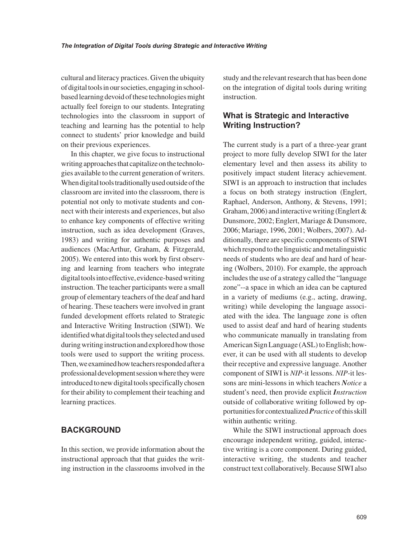cultural and literacy practices. Given the ubiquity of digital tools in our societies, engaging in schoolbased learning devoid of these technologies might actually feel foreign to our students. Integrating technologies into the classroom in support of teaching and learning has the potential to help connect to students' prior knowledge and build on their previous experiences.

In this chapter, we give focus to instructional writing approaches that capitalize on the technologies available to the current generation of writers. When digital tools traditionally used outside of the classroom are invited into the classroom, there is potential not only to motivate students and connect with their interests and experiences, but also to enhance key components of effective writing instruction, such as idea development (Graves, 1983) and writing for authentic purposes and audiences (MacArthur, Graham, & Fitzgerald, 2005). We entered into this work by first observing and learning from teachers who integrate digital tools into effective, evidence-based writing instruction. The teacher participants were a small group of elementary teachers of the deaf and hard of hearing. These teachers were involved in grant funded development efforts related to Strategic and Interactive Writing Instruction (SIWI). We identified what digital tools they selected and used during writing instruction and explored how those tools were used to support the writing process. Then, we examined how teachers responded after a professional development session where they were introduced to new digital tools specifically chosen for their ability to complement their teaching and learning practices.

#### **BACKGROUND**

In this section, we provide information about the instructional approach that that guides the writing instruction in the classrooms involved in the study and the relevant research that has been done on the integration of digital tools during writing instruction.

# **What is Strategic and Interactive Writing Instruction?**

The current study is a part of a three-year grant project to more fully develop SIWI for the later elementary level and then assess its ability to positively impact student literacy achievement. SIWI is an approach to instruction that includes a focus on both strategy instruction (Englert, Raphael, Anderson, Anthony, & Stevens, 1991; Graham, 2006) and interactive writing (Englert  $\&$ Dunsmore, 2002; Englert, Mariage & Dunsmore, 2006; Mariage, 1996, 2001; Wolbers, 2007). Additionally, there are specific components of SIWI which respond to the linguistic and metalinguistic needs of students who are deaf and hard of hearing (Wolbers, 2010). For example, the approach includes the use of a strategy called the "language zone"--a space in which an idea can be captured in a variety of mediums (e.g., acting, drawing, writing) while developing the language associated with the idea. The language zone is often used to assist deaf and hard of hearing students who communicate manually in translating from American Sign Language (ASL) to English; however, it can be used with all students to develop their receptive and expressive language. Another component of SIWI is *NIP*-it lessons. *NIP*-it lessons are mini-lessons in which teachers *Notice* a student's need, then provide explicit *Instruction* outside of collaborative writing followed by opportunities for contextualized *Practice* of this skill within authentic writing.

While the SIWI instructional approach does encourage independent writing, guided, interactive writing is a core component. During guided, interactive writing, the students and teacher construct text collaboratively. Because SIWI also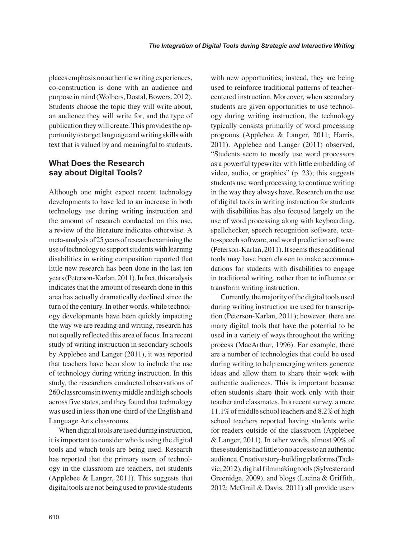places emphasis on authentic writing experiences, co-construction is done with an audience and purpose in mind (Wolbers, Dostal, Bowers, 2012). Students choose the topic they will write about, an audience they will write for, and the type of publication they will create. This provides the opportunity to target language and writing skills with text that is valued by and meaningful to students.

## **What Does the Research Say about Digital Tools?**

Although one might expect recent technology developments to have led to an increase in both technology use during writing instruction and the amount of research conducted on this use, a review of the literature indicates otherwise. A meta-analysis of 25 years of research examining the use of technology to support students with learning disabilities in writing composition reported that little new research has been done in the last ten years (Peterson-Karlan, 2011). In fact, this analysis indicates that the amount of research done in this area has actually dramatically declined since the turn of the century. In other words, while technology developments have been quickly impacting the way we are reading and writing, research has not equally reflected this area of focus. In a recent study of writing instruction in secondary schools by Applebee and Langer (2011), it was reported that teachers have been slow to include the use of technology during writing instruction. In this study, the researchers conducted observations of 260 classrooms in twenty middle and high schools across five states, and they found that technology was used in less than one-third of the English and Language Arts classrooms.

When digital tools are used during instruction, it is important to consider who is using the digital tools and which tools are being used. Research has reported that the primary users of technology in the classroom are teachers, not students (Applebee & Langer, 2011). This suggests that digital tools are not being used to provide students with new opportunities; instead, they are being used to reinforce traditional patterns of teachercentered instruction. Moreover, when secondary students are given opportunities to use technology during writing instruction, the technology typically consists primarily of word processing programs (Applebee & Langer, 2011; Harris, 2011). Applebee and Langer (2011) observed, "Students seem to mostly use word processors as a powerful typewriter with little embedding of video, audio, or graphics" (p. 23); this suggests students use word processing to continue writing in the way they always have. Research on the use of digital tools in writing instruction for students with disabilities has also focused largely on the use of word processing along with keyboarding, spellchecker, speech recognition software, textto-speech software, and word prediction software (Peterson-Karlan, 2011). It seems these additional tools may have been chosen to make accommodations for students with disabilities to engage in traditional writing, rather than to influence or transform writing instruction.

Currently, the majority of the digital tools used during writing instruction are used for transcription (Peterson-Karlan, 2011); however, there are many digital tools that have the potential to be used in a variety of ways throughout the writing process (MacArthur, 1996). For example, there are a number of technologies that could be used during writing to help emerging writers generate ideas and allow them to share their work with authentic audiences. This is important because often students share their work only with their teacher and classmates. In a recent survey, a mere 11.1% of middle school teachers and 8.2% of high school teachers reported having students write for readers outside of the classroom (Applebee & Langer, 2011). In other words, almost 90% of these students had little to no access to an authentic audience. Creative story-building platforms (Tackvic, 2012), digital filmmaking tools (Sylvester and Greenidge, 2009), and blogs (Lacina & Griffith, 2012; McGrail & Davis, 2011) all provide users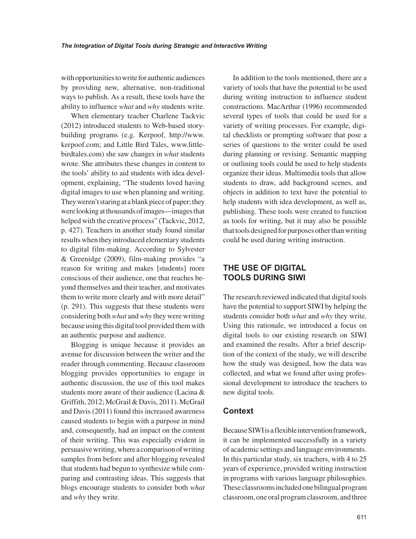with opportunities to write for authentic audiences by providing new, alternative, non-traditional ways to publish. As a result, these tools have the ability to influence *what* and *why* students write.

When elementary teacher Charlene Tackvic (2012) introduced students to Web-based storybuilding programs (e.g. Kerpoof, http://www. kerpoof.com; and Little Bird Tales, www.littlebirdtales.com) she saw changes in *what* students wrote. She attributes these changes in content to the tools' ability to aid students with idea development, explaining, "The students loved having digital images to use when planning and writing. They weren't staring at a blank piece of paper; they were looking at thousands of images—images that helped with the creative process" (Tackvic, 2012, p. 427). Teachers in another study found similar results when they introduced elementary students to digital film-making. According to Sylvester & Greenidge (2009), film-making provides "a reason for writing and makes [students] more conscious of their audience, one that reaches beyond themselves and their teacher, and motivates them to write more clearly and with more detail" (p. 291). This suggests that these students were considering both *what* and *why* they were writing because using this digital tool provided them with an authentic purpose and audience.

Blogging is unique because it provides an avenue for discussion between the writer and the reader through commenting. Because classroom blogging provides opportunities to engage in authentic discussion, the use of this tool makes students more aware of their audience (Lacina & Griffith, 2012; McGrail & Davis, 2011). McGrail and Davis (2011) found this increased awareness caused students to begin with a purpose in mind and, consequently, had an impact on the content of their writing. This was especially evident in persuasive writing, where a comparison of writing samples from before and after blogging revealed that students had begun to synthesize while comparing and contrasting ideas. This suggests that blogs encourage students to consider both *what* and *why* they write.

In addition to the tools mentioned, there are a variety of tools that have the potential to be used during writing instruction to influence student constructions. MacArthur (1996) recommended several types of tools that could be used for a variety of writing processes. For example, digital checklists or prompting software that pose a series of questions to the writer could be used during planning or revising. Semantic mapping or outlining tools could be used to help students organize their ideas. Multimedia tools that allow students to draw, add background scenes, and objects in addition to text have the potential to help students with idea development, as well as, publishing. These tools were created to function as tools for writing, but it may also be possible that tools designed for purposes other than writing could be used during writing instruction.

#### **THE USE OF DIGITAL 700LS DURING SIWI**

The research reviewed indicated that digital tools have the potential to support SIWI by helping the students consider both *what* and *why* they write. Using this rationale, we introduced a focus on digital tools to our existing research on SIWI and examined the results. After a brief description of the context of the study, we will describe how the study was designed, how the data was collected, and what we found after using professional development to introduce the teachers to new digital tools.

#### **Context**

Because SIWI is a flexible intervention framework, it can be implemented successfully in a variety of academic settings and language environments. In this particular study, six teachers, with 4 to 25 years of experience, provided writing instruction in programs with various language philosophies. These classrooms included one bilingual program classroom, one oral program classroom, and three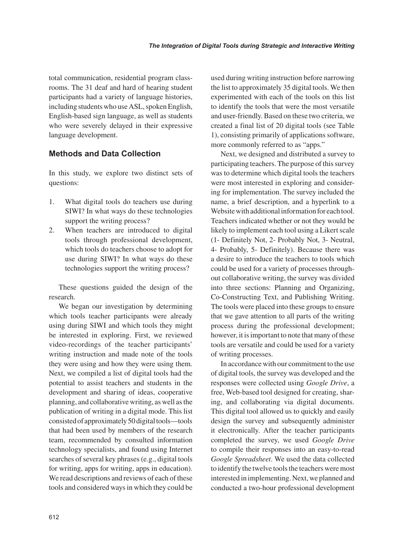total communication, residential program classrooms. The 31 deaf and hard of hearing student participants had a variety of language histories, including students who use ASL, spoken English, English-based sign language, as well as students who were severely delayed in their expressive language development.

# **Methods and Data Collection**

In this study, we explore two distinct sets of questions:

- 1. What digital tools do teachers use during SIWI? In what ways do these technologies support the writing process?
- 2. When teachers are introduced to digital tools through professional development, which tools do teachers choose to adopt for use during SIWI? In what ways do these technologies support the writing process?

These questions guided the design of the research.

We began our investigation by determining which tools teacher participants were already using during SIWI and which tools they might be interested in exploring. First, we reviewed video-recordings of the teacher participants' writing instruction and made note of the tools they were using and how they were using them. Next, we compiled a list of digital tools had the potential to assist teachers and students in the development and sharing of ideas, cooperative planning, and collaborative writing, as well as the publication of writing in a digital mode. This list consisted of approximately 50 digital tools—tools that had been used by members of the research team, recommended by consulted information technology specialists, and found using Internet searches of several key phrases (e.g., digital tools for writing, apps for writing, apps in education). We read descriptions and reviews of each of these tools and considered ways in which they could be used during writing instruction before narrowing the list to approximately 35 digital tools. We then experimented with each of the tools on this list to identify the tools that were the most versatile and user-friendly. Based on these two criteria, we created a final list of 20 digital tools (see Table 1), consisting primarily of applications software, more commonly referred to as "apps."

Next, we designed and distributed a survey to participating teachers. The purpose of this survey was to determine which digital tools the teachers were most interested in exploring and considering for implementation. The survey included the name, a brief description, and a hyperlink to a Website with additional information for each tool. Teachers indicated whether or not they would be likely to implement each tool using a Likert scale (1- Definitely Not, 2- Probably Not, 3- Neutral, 4- Probably, 5- Definitely). Because there was a desire to introduce the teachers to tools which could be used for a variety of processes throughout collaborative writing, the survey was divided into three sections: Planning and Organizing, Co-Constructing Text, and Publishing Writing. The tools were placed into these groups to ensure that we gave attention to all parts of the writing process during the professional development; however, it is important to note that many of these tools are versatile and could be used for a variety of writing processes.

In accordance with our commitment to the use of digital tools, the survey was developed and the responses were collected using *Google Drive*, a free, Web-based tool designed for creating, sharing, and collaborating via digital documents. This digital tool allowed us to quickly and easily design the survey and subsequently administer it electronically. After the teacher participants completed the survey, we used *Google Drive* to compile their responses into an easy-to-read *Google Spreadsheet*. We used the data collected to identify the twelve tools the teachers were most interested in implementing. Next, we planned and conducted a two-hour professional development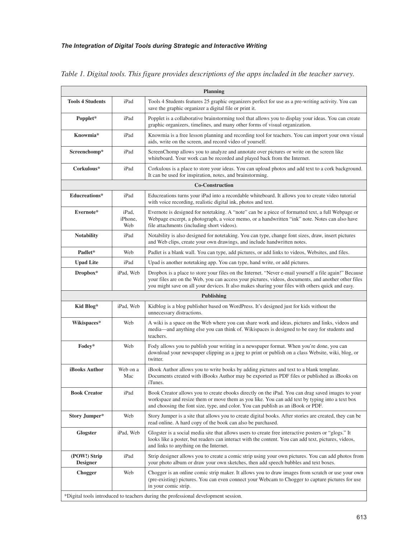| <b>Planning</b>                 |                         |                                                                                                                                                                                                                                                                                                                     |
|---------------------------------|-------------------------|---------------------------------------------------------------------------------------------------------------------------------------------------------------------------------------------------------------------------------------------------------------------------------------------------------------------|
| <b>Tools 4 Students</b>         | iPad                    | Tools 4 Students features 25 graphic organizers perfect for use as a pre-writing activity. You can<br>save the graphic organizer a digital file or print it.                                                                                                                                                        |
| Popplet*                        | iPad                    | Popplet is a collaborative brainstorming tool that allows you to display your ideas. You can create<br>graphic organizers, timelines, and many other forms of visual organization.                                                                                                                                  |
| Knowmia*                        | iPad                    | Knowmia is a free lesson planning and recording tool for teachers. You can import your own visual<br>aids, write on the screen, and record video of yourself.                                                                                                                                                       |
| Screenchomp*                    | iPad                    | ScreenChomp allows you to analyze and annotate over pictures or write on the screen like<br>whiteboard. Your work can be recorded and played back from the Internet.                                                                                                                                                |
| Corkulous*                      | iPad                    | Corkulous is a place to store your ideas. You can upload photos and add text to a cork background.<br>It can be used for inspiration, notes, and brainstorming.                                                                                                                                                     |
| <b>Co-Construction</b>          |                         |                                                                                                                                                                                                                                                                                                                     |
| Educreations*                   | iPad                    | Educreations turns your iPad into a recordable whiteboard. It allows you to create video tutorial<br>with voice recording, realistic digital ink, photos and text.                                                                                                                                                  |
| Evernote*                       | iPad,<br>iPhone,<br>Web | Evernote is designed for notetaking. A "note" can be a piece of formatted text, a full Webpage or<br>Webpage excerpt, a photograph, a voice memo, or a handwritten "ink" note. Notes can also have<br>file attachments (including short videos).                                                                    |
| <b>Notability</b>               | iPad                    | Notability is also designed for notetaking. You can type, change font sizes, draw, insert pictures<br>and Web clips, create your own drawings, and include handwritten notes.                                                                                                                                       |
| Padlet*                         | Web                     | Padlet is a blank wall. You can type, add pictures, or add links to videos, Websites, and files.                                                                                                                                                                                                                    |
| <b>Upad Lite</b>                | iPad                    | Upad is another notetaking app. You can type, hand write, or add pictures.                                                                                                                                                                                                                                          |
| Dropbox*                        | iPad, Web               | Dropbox is a place to store your files on the Internet. "Never e-mail yourself a file again!" Because<br>your files are on the Web, you can access your pictures, videos, documents, and another other files<br>you might save on all your devices. It also makes sharing your files with others quick and easy.    |
| <b>Publishing</b>               |                         |                                                                                                                                                                                                                                                                                                                     |
| Kid Blog*                       | iPad, Web               | Kidblog is a blog publisher based on WordPress. It's designed just for kids without the<br>unnecessary distractions.                                                                                                                                                                                                |
| Wikispaces*                     | Web                     | A wiki is a space on the Web where you can share work and ideas, pictures and links, videos and<br>media—and anything else you can think of. Wikispaces is designed to be easy for students and<br>teachers.                                                                                                        |
| Fodey*                          | Web                     | Fody allows you to publish your writing in a newspaper format. When you're done, you can<br>download your newspaper clipping as a jpeg to print or publish on a class Website, wiki, blog, or<br>twitter.                                                                                                           |
| <b>iBooks Author</b>            | Web on a<br>Mac         | iBook Author allows you to write books by adding pictures and text to a blank template.<br>Documents created with iBooks Author may be exported as PDF files or published as iBooks on<br>iTunes.                                                                                                                   |
| <b>Book Creator</b>             | iPad                    | Book Creator allows you to create ebooks directly on the iPad. You can drag saved images to your<br>workspace and resize them or move them as you like. You can add text by typing into a text box<br>and choosing the font size, type, and color. You can publish as an iBook or PDF.                              |
| Story Jumper*                   | Web                     | Story Jumper is a site that allows you to create digital books. After stories are created, they can be<br>read online. A hard copy of the book can also be purchased.                                                                                                                                               |
| <b>Glogster</b>                 | iPad, Web               | Glogster is a social media site that allows users to create free interactive posters or "glogs." It<br>looks like a poster, but readers can interact with the content. You can add text, pictures, videos,<br>and links to anything on the Internet.                                                                |
| (POW!) Strip<br><b>Designer</b> | iPad                    | Strip designer allows you to create a comic strip using your own pictures. You can add photos from<br>your photo album or draw your own sketches, then add speech bubbles and text boxes.                                                                                                                           |
| Chogger                         | Web                     | Chogger is an online comic strip maker. It allows you to draw images from scratch or use your own<br>(pre-existing) pictures. You can even connect your Webcam to Chogger to capture pictures for use<br>in your comic strip.<br>*Digital tools introduced to teachers during the professional development session. |

*Table 1. Digital tools. This figure provides descriptions of the apps included in the teacher survey.*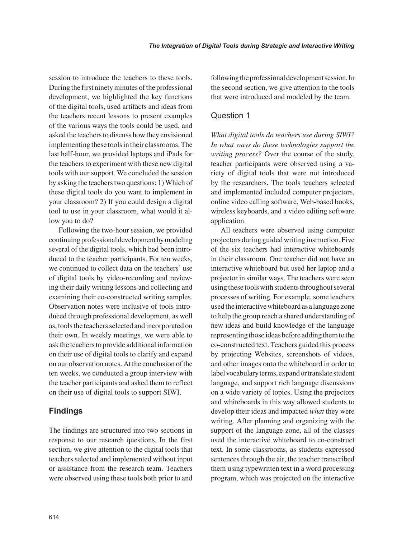session to introduce the teachers to these tools. During the first ninety minutes of the professional development, we highlighted the key functions of the digital tools, used artifacts and ideas from the teachers recent lessons to present examples of the various ways the tools could be used, and asked the teachers to discuss how they envisioned implementing these tools in their classrooms. The last half-hour, we provided laptops and iPads for the teachers to experiment with these new digital tools with our support. We concluded the session by asking the teachers two questions: 1) Which of these digital tools do you want to implement in your classroom? 2) If you could design a digital tool to use in your classroom, what would it allow you to do?

Following the two-hour session, we provided continuing professional development by modeling several of the digital tools, which had been introduced to the teacher participants. For ten weeks, we continued to collect data on the teachers' use of digital tools by video-recording and reviewing their daily writing lessons and collecting and examining their co-constructed writing samples. Observation notes were inclusive of tools introduced through professional development, as well as, tools the teachers selected and incorporated on their own. In weekly meetings, we were able to ask the teachers to provide additional information on their use of digital tools to clarify and expand on our observation notes. At the conclusion of the ten weeks, we conducted a group interview with the teacher participants and asked them to reflect on their use of digital tools to support SIWI.

# **Findings**

The findings are structured into two sections in response to our research questions. In the first section, we give attention to the digital tools that teachers selected and implemented without input or assistance from the research team. Teachers were observed using these tools both prior to and

following the professional development session. In the second section, we give attention to the tools that were introduced and modeled by the team.

#### Question 1

*What digital tools do teachers use during SIWI? In what ways do these technologies support the writing process?* Over the course of the study, teacher participants were observed using a variety of digital tools that were not introduced by the researchers. The tools teachers selected and implemented included computer projectors, online video calling software, Web-based books, wireless keyboards, and a video editing software application.

All teachers were observed using computer projectors during guided writing instruction. Five of the six teachers had interactive whiteboards in their classroom. One teacher did not have an interactive whiteboard but used her laptop and a projector in similar ways. The teachers were seen using these tools with students throughout several processes of writing. For example, some teachers used the interactive whiteboard as a language zone to help the group reach a shared understanding of new ideas and build knowledge of the language representing those ideas before adding them to the co-constructed text. Teachers guided this process by projecting Websites, screenshots of videos, and other images onto the whiteboard in order to label vocabulary terms, expand or translate student language, and support rich language discussions on a wide variety of topics. Using the projectors and whiteboards in this way allowed students to develop their ideas and impacted *what* they were writing. After planning and organizing with the support of the language zone, all of the classes used the interactive whiteboard to co-construct text. In some classrooms, as students expressed sentences through the air, the teacher transcribed them using typewritten text in a word processing program, which was projected on the interactive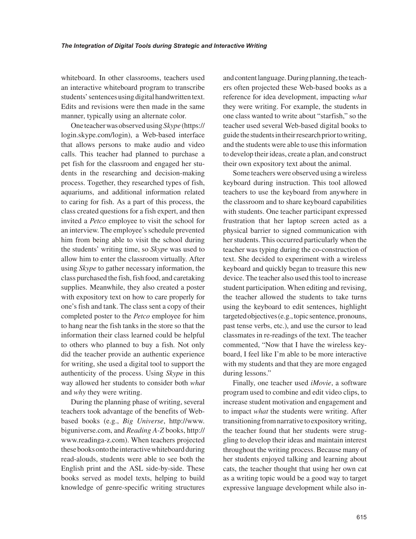whiteboard. In other classrooms, teachers used an interactive whiteboard program to transcribe students' sentences using digital handwritten text. Edits and revisions were then made in the same manner, typically using an alternate color.

One teacher was observed using *Skype* (https:// login.skype.com/login), a Web-based interface that allows persons to make audio and video calls. This teacher had planned to purchase a pet fish for the classroom and engaged her students in the researching and decision-making process. Together, they researched types of fish, aquariums, and additional information related to caring for fish. As a part of this process, the class created questions for a fish expert, and then invited a *Petco* employee to visit the school for an interview. The employee's schedule prevented him from being able to visit the school during the students' writing time, so *Skype* was used to allow him to enter the classroom virtually. After using *Skype* to gather necessary information, the class purchased the fish, fish food, and caretaking supplies. Meanwhile, they also created a poster with expository text on how to care properly for one's fish and tank. The class sent a copy of their completed poster to the *Petco* employee for him to hang near the fish tanks in the store so that the information their class learned could be helpful to others who planned to buy a fish. Not only did the teacher provide an authentic experience for writing, she used a digital tool to support the authenticity of the process. Using *Skype* in this way allowed her students to consider both *what* and *why* they were writing.

During the planning phase of writing, several teachers took advantage of the benefits of Webbased books (e.g., *Big Universe*, http://www. biguniverse.com, and *Reading A-Z* books, http:// www.readinga-z.com). When teachers projected these books onto the interactive whiteboard during read-alouds, students were able to see both the English print and the ASL side-by-side. These books served as model texts, helping to build knowledge of genre-specific writing structures

and content language. During planning, the teachers often projected these Web-based books as a reference for idea development, impacting *what* they were writing. For example, the students in one class wanted to write about "starfish," so the teacher used several Web-based digital books to guide the students in their research prior to writing, and the students were able to use this information to develop their ideas, create a plan, and construct their own expository text about the animal.

Some teachers were observed using a wireless keyboard during instruction. This tool allowed teachers to use the keyboard from anywhere in the classroom and to share keyboard capabilities with students. One teacher participant expressed frustration that her laptop screen acted as a physical barrier to signed communication with her students. This occurred particularly when the teacher was typing during the co-construction of text. She decided to experiment with a wireless keyboard and quickly began to treasure this new device. The teacher also used this tool to increase student participation. When editing and revising, the teacher allowed the students to take turns using the keyboard to edit sentences, highlight targeted objectives (e.g., topic sentence, pronouns, past tense verbs, etc.), and use the cursor to lead classmates in re-readings of the text. The teacher commented, "Now that I have the wireless keyboard, I feel like I'm able to be more interactive with my students and that they are more engaged during lessons."

Finally, one teacher used *iMovie*, a software program used to combine and edit video clips, to increase student motivation and engagement and to impact *what* the students were writing. After transitioning from narrative to expository writing, the teacher found that her students were struggling to develop their ideas and maintain interest throughout the writing process. Because many of her students enjoyed talking and learning about cats, the teacher thought that using her own cat as a writing topic would be a good way to target expressive language development while also in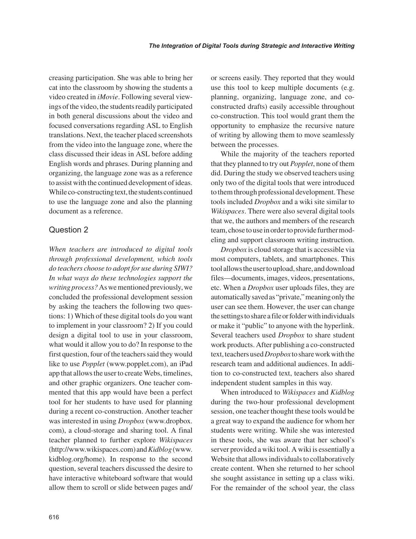creasing participation. She was able to bring her cat into the classroom by showing the students a video created in *iMovie*. Following several viewings of the video, the students readily participated in both general discussions about the video and focused conversations regarding ASL to English translations. Next, the teacher placed screenshots from the video into the language zone, where the class discussed their ideas in ASL before adding English words and phrases. During planning and organizing, the language zone was as a reference to assist with the continued development of ideas. While co-constructing text, the students continued to use the language zone and also the planning document as a reference.

#### Question 2

*When teachers are introduced to digital tools through professional development, which tools do teachers choose to adopt for use during SIWI? In what ways do these technologies support the writing process?* As we mentioned previously, we concluded the professional development session by asking the teachers the following two questions: 1) Which of these digital tools do you want to implement in your classroom? 2) If you could design a digital tool to use in your classroom, what would it allow you to do? In response to the first question, four of the teachers said they would like to use *Popplet* (www.popplet.com), an iPad app that allows the user to create Webs, timelines, and other graphic organizers. One teacher commented that this app would have been a perfect tool for her students to have used for planning during a recent co-construction. Another teacher was interested in using *Dropbox* (www.dropbox. com), a cloud-storage and sharing tool. A final teacher planned to further explore *Wikispaces* (http://www.wikispaces.com) and *Kidblog* (www. kidblog.org/home). In response to the second question, several teachers discussed the desire to have interactive whiteboard software that would allow them to scroll or slide between pages and/ or screens easily. They reported that they would use this tool to keep multiple documents (e.g. planning, organizing, language zone, and coconstructed drafts) easily accessible throughout co-construction. This tool would grant them the opportunity to emphasize the recursive nature of writing by allowing them to move seamlessly between the processes.

While the majority of the teachers reported that they planned to try out *Popplet*, none of them did. During the study we observed teachers using only two of the digital tools that were introduced to them through professional development. These tools included *Dropbox* and a wiki site similar to *Wikispaces*. There were also several digital tools that we, the authors and members of the research team, chose to use in order to provide further modeling and support classroom writing instruction.

*Dropbox* is cloud storage that is accessible via most computers, tablets, and smartphones. This tool allows the user to upload, share, and download files—documents, images, videos, presentations, etc. When a *Dropbox* user uploads files, they are automatically saved as "private," meaning only the user can see them. However, the user can change the settings to share a file or folder with individuals or make it "public" to anyone with the hyperlink. Several teachers used *Dropbox* to share student work products. After publishing a co-constructed text, teachers used *Dropbox* to share work with the research team and additional audiences. In addition to co-constructed text, teachers also shared independent student samples in this way.

When introduced to *Wikispaces* and *Kidblog* during the two-hour professional development session, one teacher thought these tools would be a great way to expand the audience for whom her students were writing. While she was interested in these tools, she was aware that her school's server provided a wiki tool. A wiki is essentially a Website that allows individuals to collaboratively create content. When she returned to her school she sought assistance in setting up a class wiki. For the remainder of the school year, the class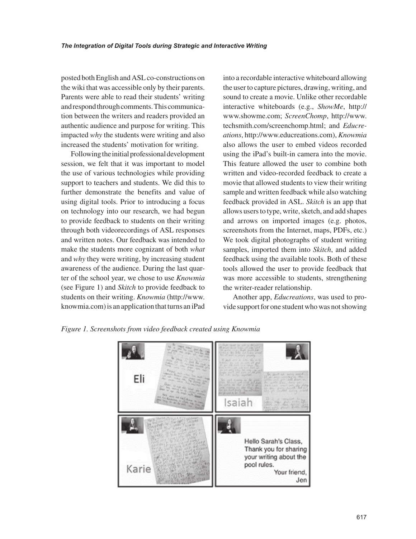posted both English and ASL co-constructions on the wiki that was accessible only by their parents. Parents were able to read their students' writing and respond through comments. This communication between the writers and readers provided an authentic audience and purpose for writing. This impacted *why* the students were writing and also increased the students' motivation for writing.

Following the initial professional development session, we felt that it was important to model the use of various technologies while providing support to teachers and students. We did this to further demonstrate the benefits and value of using digital tools. Prior to introducing a focus on technology into our research, we had begun to provide feedback to students on their writing through both videorecordings of ASL responses and written notes. Our feedback was intended to make the students more cognizant of both *what* and *why* they were writing, by increasing student awareness of the audience. During the last quarter of the school year, we chose to use *Knowmia* (see Figure 1) and *Skitch* to provide feedback to students on their writing. *Knowmia* (http://www. knowmia.com) is an application that turns an iPad

into a recordable interactive whiteboard allowing the user to capture pictures, drawing, writing, and sound to create a movie. Unlike other recordable interactive whiteboards (e.g., *ShowMe*, http:// www.showme.com; *ScreenChomp*, http://www. techsmith.com/screenchomp.html; and *Educreations*, http://www.educreations.com), *Knowmia* also allows the user to embed videos recorded using the iPad's built-in camera into the movie. This feature allowed the user to combine both written and video-recorded feedback to create a movie that allowed students to view their writing sample and written feedback while also watching feedback provided in ASL. *Skitch* is an app that allows users to type, write, sketch, and add shapes and arrows on imported images (e.g. photos, screenshots from the Internet, maps, PDFs, etc.) We took digital photographs of student writing samples, imported them into *Skitch*, and added feedback using the available tools. Both of these tools allowed the user to provide feedback that was more accessible to students, strengthening the writer-reader relationship.

Another app, *Educreations*, was used to provide support for one student who was not showing

*Figure 1. Screenshots from video feedback created using Knowmia*

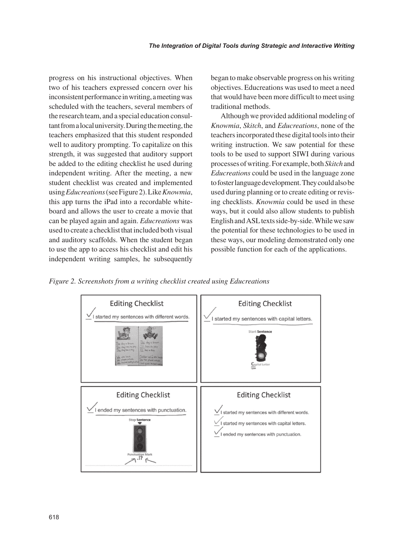progress on his instructional objectives. When two of his teachers expressed concern over his inconsistent performance in writing, a meeting was scheduled with the teachers, several members of the research team, and a special education consultant from a local university. During the meeting, the teachers emphasized that this student responded well to auditory prompting. To capitalize on this strength, it was suggested that auditory support be added to the editing checklist he used during independent writing. After the meeting, a new student checklist was created and implemented using *Educreations* (see Figure 2). Like *Knowmia*, this app turns the iPad into a recordable whiteboard and allows the user to create a movie that can be played again and again. *Educreations* was used to create a checklist that included both visual and auditory scaffolds. When the student began to use the app to access his checklist and edit his independent writing samples, he subsequently began to make observable progress on his writing objectives. Educreations was used to meet a need that would have been more difficult to meet using traditional methods.

Although we provided additional modeling of *Knowmia*, *Skitch*, and *Educreations*, none of the teachers incorporated these digital tools into their writing instruction. We saw potential for these tools to be used to support SIWI during various processes of writing. For example, both *Skitch* and *Educreations* could be used in the language zone to foster language development. They could also be used during planning or to create editing or revising checklists. *Knowmia* could be used in these ways, but it could also allow students to publish English and ASL texts side-by-side. While we saw the potential for these technologies to be used in these ways, our modeling demonstrated only one possible function for each of the applications.

*Figure 2. Screenshots from a writing checklist created using Educreations*

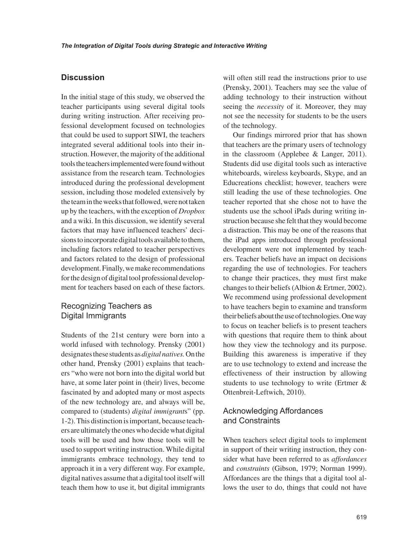#### Discussion

In the initial stage of this study, we observed the teacher participants using several digital tools during writing instruction. After receiving professional development focused on technologies that could be used to support SIWI, the teachers integrated several additional tools into their instruction. However, the majority of the additional tools the teachers implemented were found without assistance from the research team. Technologies introduced during the professional development session, including those modeled extensively by the team in the weeks that followed, were not taken up by the teachers, with the exception of *Dropbox* and a wiki. In this discussion, we identify several factors that may have influenced teachers' decisions to incorporate digital tools available to them, including factors related to teacher perspectives and factors related to the design of professional development. Finally, we make recommendations for the design of digital tool professional development for teachers based on each of these factors.

# Recognizing Teachers as Digital Immigrants

Students of the 21st century were born into a world infused with technology. Prensky (2001) designates these students as *digital natives.* On the other hand, Prensky (2001) explains that teachers "who were not born into the digital world but have, at some later point in (their) lives, become fascinated by and adopted many or most aspects of the new technology are, and always will be, compared to (students) *digital immigrant*s" (pp. 1-2). This distinction is important, because teachers are ultimately the ones who decide what digital tools will be used and how those tools will be used to support writing instruction. While digital immigrants embrace technology, they tend to approach it in a very different way. For example, digital natives assume that a digital tool itself will teach them how to use it, but digital immigrants

will often still read the instructions prior to use (Prensky, 2001). Teachers may see the value of adding technology to their instruction without seeing the *necessity* of it. Moreover, they may not see the necessity for students to be the users of the technology.

Our findings mirrored prior that has shown that teachers are the primary users of technology in the classroom (Applebee & Langer, 2011). Students did use digital tools such as interactive whiteboards, wireless keyboards, Skype, and an Educreations checklist; however, teachers were still leading the use of these technologies. One teacher reported that she chose not to have the students use the school iPads during writing instruction because she felt that they would become a distraction. This may be one of the reasons that the iPad apps introduced through professional development were not implemented by teachers. Teacher beliefs have an impact on decisions regarding the use of technologies. For teachers to change their practices, they must first make changes to their beliefs (Albion & Ertmer, 2002). We recommend using professional development to have teachers begin to examine and transform their beliefs about the use of technologies. One way to focus on teacher beliefs is to present teachers with questions that require them to think about how they view the technology and its purpose. Building this awareness is imperative if they are to use technology to extend and increase the effectiveness of their instruction by allowing students to use technology to write (Ertmer & Ottenbreit-Leftwich, 2010).

#### Acknowledging Affordances and Constraints

When teachers select digital tools to implement in support of their writing instruction, they consider what have been referred to as *affordances* and *constraints* (Gibson, 1979; Norman 1999). Affordances are the things that a digital tool allows the user to do, things that could not have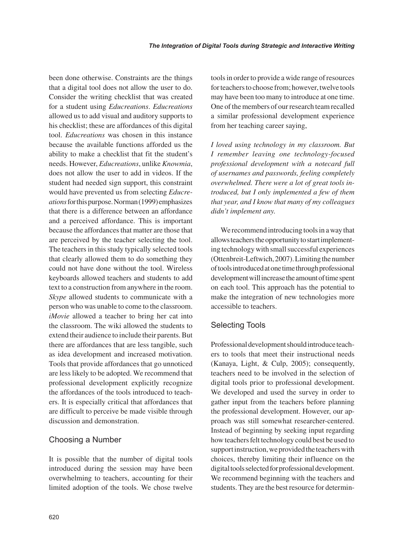been done otherwise. Constraints are the things that a digital tool does not allow the user to do. Consider the writing checklist that was created for a student using *Educreations*. *Educreations* allowed us to add visual and auditory supports to his checklist; these are affordances of this digital tool. *Educreations* was chosen in this instance because the available functions afforded us the ability to make a checklist that fit the student's needs. However, *Educreations*, unlike *Knowmia*, does not allow the user to add in videos. If the student had needed sign support, this constraint would have prevented us from selecting *Educreations* for this purpose. Norman (1999) emphasizes that there is a difference between an affordance and a perceived affordance. This is important because the affordances that matter are those that are perceived by the teacher selecting the tool. The teachers in this study typically selected tools that clearly allowed them to do something they could not have done without the tool. Wireless keyboards allowed teachers and students to add text to a construction from anywhere in the room. *Skype* allowed students to communicate with a person who was unable to come to the classroom. *iMovie* allowed a teacher to bring her cat into the classroom. The wiki allowed the students to extend their audience to include their parents. But there are affordances that are less tangible, such as idea development and increased motivation. Tools that provide affordances that go unnoticed are less likely to be adopted. We recommend that professional development explicitly recognize the affordances of the tools introduced to teachers. It is especially critical that affordances that are difficult to perceive be made visible through discussion and demonstration.

#### Choosing a Number

It is possible that the number of digital tools introduced during the session may have been overwhelming to teachers, accounting for their limited adoption of the tools. We chose twelve tools in order to provide a wide range of resources for teachers to choose from; however, twelve tools may have been too many to introduce at one time. One of the members of our research team recalled a similar professional development experience from her teaching career saying,

*I loved using technology in my classroom. But I remember leaving one technology-focused professional development with a notecard full of usernames and passwords, feeling completely overwhelmed. There were a lot of great tools introduced, but I only implemented a few of them that year, and I know that many of my colleagues didn't implement any.* 

We recommend introducing tools in a way that allows teachers the opportunity to start implementing technology with small successful experiences (Ottenbreit-Leftwich, 2007). Limiting the number of tools introduced at one time through professional development will increase the amount of time spent on each tool. This approach has the potential to make the integration of new technologies more accessible to teachers.

#### Selecting Tools

Professional development should introduce teachers to tools that meet their instructional needs (Kanaya, Light, & Culp, 2005); consequently, teachers need to be involved in the selection of digital tools prior to professional development. We developed and used the survey in order to gather input from the teachers before planning the professional development. However, our approach was still somewhat researcher-centered. Instead of beginning by seeking input regarding how teachers felt technology could best be used to support instruction, we provided the teachers with choices, thereby limiting their influence on the digital tools selected for professional development. We recommend beginning with the teachers and students. They are the best resource for determin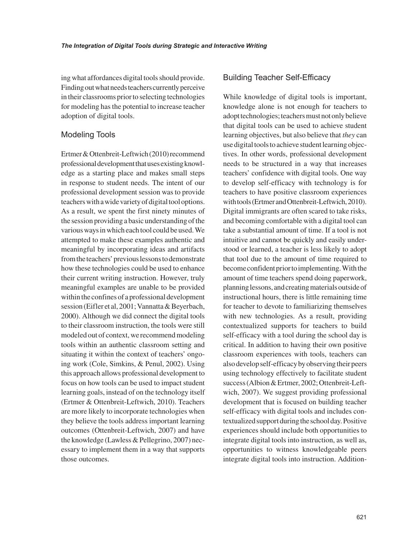ing what affordances digital tools should provide. Finding out what needs teachers currently perceive in their classrooms prior to selecting technologies for modeling has the potential to increase teacher adoption of digital tools.

#### Modeling Tools

Ertmer & Ottenbreit-Leftwich (2010) recommend professional development that uses existing knowledge as a starting place and makes small steps in response to student needs. The intent of our professional development session was to provide teachers with a wide variety of digital tool options. As a result, we spent the first ninety minutes of the session providing a basic understanding of the various ways in which each tool could be used. We attempted to make these examples authentic and meaningful by incorporating ideas and artifacts from the teachers' previous lessons to demonstrate how these technologies could be used to enhance their current writing instruction. However, truly meaningful examples are unable to be provided within the confines of a professional development session (Eifler et al, 2001; Vannatta & Beyerbach, 2000). Although we did connect the digital tools to their classroom instruction, the tools were still modeled out of context, we recommend modeling tools within an authentic classroom setting and situating it within the context of teachers' ongoing work (Cole, Simkins, & Penul, 2002). Using this approach allows professional development to focus on how tools can be used to impact student learning goals, instead of on the technology itself (Ertmer & Ottenbreit-Leftwich, 2010). Teachers are more likely to incorporate technologies when they believe the tools address important learning outcomes (Ottenbreit-Leftwich, 2007) and have the knowledge (Lawless & Pellegrino, 2007) necessary to implement them in a way that supports those outcomes.

#### Building Teacher Self-Efficacy

While knowledge of digital tools is important, knowledge alone is not enough for teachers to adopt technologies; teachers must not only believe that digital tools can be used to achieve student learning objectives, but also believe that *they* can use digital tools to achieve student learning objectives. In other words, professional development needs to be structured in a way that increases teachers' confidence with digital tools. One way to develop self-efficacy with technology is for teachers to have positive classroom experiences with tools (Ertmer and Ottenbreit-Leftwich, 2010). Digital immigrants are often scared to take risks, and becoming comfortable with a digital tool can take a substantial amount of time. If a tool is not intuitive and cannot be quickly and easily understood or learned, a teacher is less likely to adopt that tool due to the amount of time required to become confident prior to implementing. With the amount of time teachers spend doing paperwork, planning lessons, and creating materials outside of instructional hours, there is little remaining time for teacher to devote to familiarizing themselves with new technologies. As a result, providing contextualized supports for teachers to build self-efficacy with a tool during the school day is critical. In addition to having their own positive classroom experiences with tools, teachers can also develop self-efficacy by observing their peers using technology effectively to facilitate student success (Albion & Ertmer, 2002; Ottenbreit-Leftwich, 2007). We suggest providing professional development that is focused on building teacher self-efficacy with digital tools and includes contextualized support during the school day. Positive experiences should include both opportunities to integrate digital tools into instruction, as well as, opportunities to witness knowledgeable peers integrate digital tools into instruction. Addition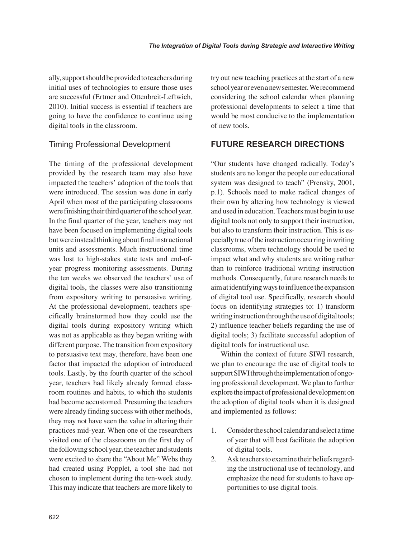ally, support should be provided to teachers during initial uses of technologies to ensure those uses are successful (Ertmer and Ottenbreit-Leftwich, 2010). Initial success is essential if teachers are going to have the confidence to continue using digital tools in the classroom.

# Timing Professional Development

The timing of the professional development provided by the research team may also have impacted the teachers' adoption of the tools that were introduced. The session was done in early April when most of the participating classrooms were finishing their third quarter of the school year. In the final quarter of the year, teachers may not have been focused on implementing digital tools but were instead thinking about final instructional units and assessments. Much instructional time was lost to high-stakes state tests and end-ofyear progress monitoring assessments. During the ten weeks we observed the teachers' use of digital tools, the classes were also transitioning from expository writing to persuasive writing. At the professional development, teachers specifically brainstormed how they could use the digital tools during expository writing which was not as applicable as they began writing with different purpose. The transition from expository to persuasive text may, therefore, have been one factor that impacted the adoption of introduced tools. Lastly, by the fourth quarter of the school year, teachers had likely already formed classroom routines and habits, to which the students had become accustomed. Presuming the teachers were already finding success with other methods, they may not have seen the value in altering their practices mid-year. When one of the researchers visited one of the classrooms on the first day of the following school year, the teacher and students were excited to share the "About Me" Webs they had created using Popplet, a tool she had not chosen to implement during the ten-week study. This may indicate that teachers are more likely to try out new teaching practices at the start of a new school year or even a new semester. We recommend considering the school calendar when planning professional developments to select a time that would be most conducive to the implementation of new tools.

# **FUTURE RESEARCH DIRECTIONS**

"Our students have changed radically. Today's students are no longer the people our educational system was designed to teach" (Prensky, 2001, p.1). Schools need to make radical changes of their own by altering how technology is viewed and used in education. Teachers must begin to use digital tools not only to support their instruction, but also to transform their instruction. This is especially true of the instruction occurring in writing classrooms, where technology should be used to impact what and why students are writing rather than to reinforce traditional writing instruction methods. Consequently, future research needs to aim at identifying ways to influence the expansion of digital tool use. Specifically, research should focus on identifying strategies to: 1) transform writing instruction through the use of digital tools; 2) influence teacher beliefs regarding the use of digital tools; 3) facilitate successful adoption of digital tools for instructional use.

Within the context of future SIWI research, we plan to encourage the use of digital tools to support SIWI through the implementation of ongoing professional development. We plan to further explore the impact of professional development on the adoption of digital tools when it is designed and implemented as follows:

- 1. Consider the school calendar and select a time of year that will best facilitate the adoption of digital tools.
- 2. Ask teachers to examine their beliefs regarding the instructional use of technology, and emphasize the need for students to have opportunities to use digital tools.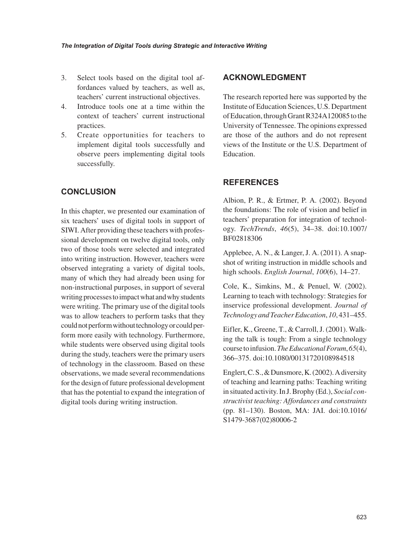- 3. Select tools based on the digital tool affordances valued by teachers, as well as, teachers' current instructional objectives.
- 4. Introduce tools one at a time within the context of teachers' current instructional practices.
- 5. Create opportunities for teachers to implement digital tools successfully and observe peers implementing digital tools successfully.

# **CONCLUSION**

In this chapter, we presented our examination of six teachers' uses of digital tools in support of SIWI. After providing these teachers with professional development on twelve digital tools, only two of those tools were selected and integrated into writing instruction. However, teachers were observed integrating a variety of digital tools, many of which they had already been using for non-instructional purposes, in support of several writing processes to impact what and why students were writing. The primary use of the digital tools was to allow teachers to perform tasks that they could not perform without technology or could perform more easily with technology. Furthermore, while students were observed using digital tools during the study, teachers were the primary users of technology in the classroom. Based on these observations, we made several recommendations for the design of future professional development that has the potential to expand the integration of digital tools during writing instruction.

#### **ACKNOWLEDGMENT**

The research reported here was supported by the Institute of Education Sciences, U.S. Department of Education, through Grant R324A120085 to the University of Tennessee. The opinions expressed are those of the authors and do not represent views of the Institute or the U.S. Department of Education.

#### **REFERENCES**

Albion, P. R., & Ertmer, P. A. (2002). Beyond the foundations: The role of vision and belief in teachers' preparation for integration of technology. *TechTrends*, *46*(5), 34–38. doi:10.1007/ BF02818306

Applebee, A. N., & Langer, J. A. (2011). A snapshot of writing instruction in middle schools and high schools. *English Journal*, *100*(6), 14–27.

Cole, K., Simkins, M., & Penuel, W. (2002). Learning to teach with technology: Strategies for inservice professional development. *Journal of Technology and Teacher Education*, *10*, 431–455.

Eifler, K., Greene, T., & Carroll, J. (2001). Walking the talk is tough: From a single technology course to infusion. *The Educational Forum*, *65*(4), 366–375. doi:10.1080/00131720108984518

Englert, C. S., & Dunsmore, K. (2002). A diversity of teaching and learning paths: Teaching writing in situated activity. In J. Brophy (Ed.), *Social constructivist teaching: Affordances and constraints* (pp. 81–130). Boston, MA: JAI. doi:10.1016/ S1479-3687(02)80006-2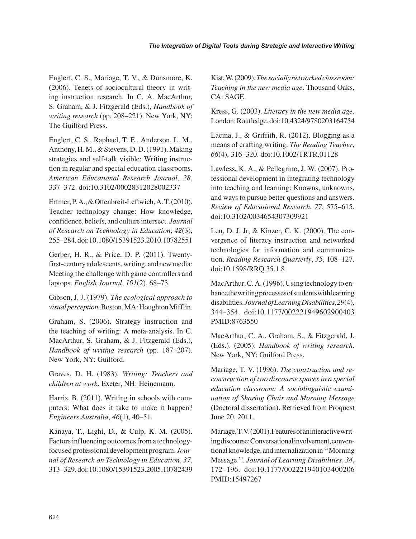Englert, C. S., Mariage, T. V., & Dunsmore, K. (2006). Tenets of sociocultural theory in writing instruction research. In C. A. MacArthur, S. Graham, & J. Fitzgerald (Eds.), *Handbook of writing research* (pp. 208–221). New York, NY: The Guilford Press.

Englert, C. S., Raphael, T. E., Anderson, L. M., Anthony, H. M., & Stevens, D. D. (1991). Making strategies and self-talk visible: Writing instruction in regular and special education classrooms. *American Educational Research Journal*, *28*, 337–372. doi:10.3102/00028312028002337

Ertmer, P. A., & Ottenbreit-Leftwich, A. T. (2010). Teacher technology change: How knowledge, confidence, beliefs, and culture intersect. *Journal of Research on Technology in Education*, *42*(3), 255–284. doi:10.1080/15391523.2010.10782551

Gerber, H. R., & Price, D. P. (2011). Twentyfirst-century adolescents, writing, and new media: Meeting the challenge with game controllers and laptops. *English Journal*, *101*(2), 68–73.

Gibson, J. J. (1979). *The ecological approach to visual perception*. Boston, MA: Houghton Mifflin.

Graham, S. (2006). Strategy instruction and the teaching of writing: A meta-analysis. In C. MacArthur, S. Graham, & J. Fitzgerald (Eds.), *Handbook of writing research* (pp. 187–207). New York, NY: Guilford.

Graves, D. H. (1983). *Writing: Teachers and children at work*. Exeter, NH: Heinemann.

Harris, B. (2011). Writing in schools with computers: What does it take to make it happen? *Engineers Australia*, *46*(1), 40–51.

Kanaya, T., Light, D., & Culp, K. M. (2005). Factors influencing outcomes from a technologyfocused professional development program. *Journal of Research on Technology in Education*, *37*, 313–329. doi:10.1080/15391523.2005.10782439 Kist, W. (2009). *The socially networked classroom: Teaching in the new media age*. Thousand Oaks, CA: SAGE.

Kress, G. (2003). *Literacy in the new media age*. London: Routledge. doi:10.4324/9780203164754

Lacina, J., & Griffith, R. (2012). Blogging as a means of crafting writing. *The Reading Teacher*, *66*(4), 316–320. doi:10.1002/TRTR.01128

Lawless, K. A., & Pellegrino, J. W. (2007). Professional development in integrating technology into teaching and learning: Knowns, unknowns, and ways to pursue better questions and answers. *Review of Educational Research*, *77*, 575–615. doi:10.3102/0034654307309921

Leu, D. J. Jr, & Kinzer, C. K. (2000). The convergence of literacy instruction and networked technologies for information and communication. *Reading Research Quarterly*, *35*, 108–127. doi:10.1598/RRQ.35.1.8

MacArthur, C. A. (1996). Using technology to enhance the writing processes of students with learning disabilities. *Journal of Learning Disabilities*, *29*(4), 344–354. doi:10.1177/002221949602900403 PMID:8763550

MacArthur, C. A., Graham, S., & Fitzgerald, J. (Eds.). (2005). *Handbook of writing research*. New York, NY: Guilford Press.

Mariage, T. V. (1996). *The construction and reconstruction of two discourse spaces in a special education classroom: A sociolinguistic examination of Sharing Chair and Morning Message* (Doctoral dissertation). Retrieved from Proquest June 20, 2011.

Mariage, T. V. (2001). Features of an interactive writing discourse: Conversational involvement, conventional knowledge, and internalization in ''Morning Message.''. *Journal of Learning Disabilities*, *34*, 172–196. doi:10.1177/002221940103400206 PMID:15497267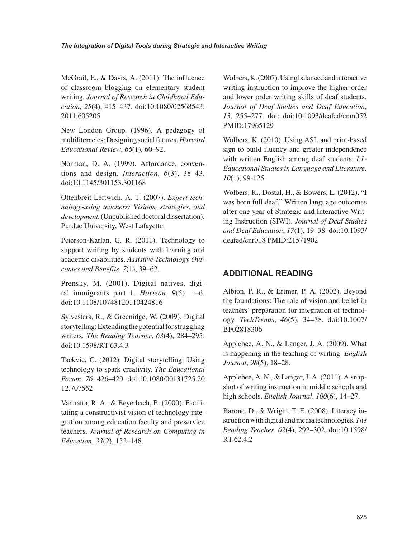McGrail, E., & Davis, A. (2011). The influence of classroom blogging on elementary student writing. *Journal of Research in Childhood Education*, *25*(4), 415–437. doi:10.1080/02568543. 2011.605205

New London Group. (1996). A pedagogy of multiliteracies: Designing social futures. *Harvard Educational Review*, *66*(1), 60–92.

Norman, D. A. (1999). Affordance, conventions and design. *Interaction*, *6*(3), 38–43. doi:10.1145/301153.301168

Ottenbreit-Leftwich, A. T. (2007). *Expert technology-using teachers: Visions, strategies, and development.* (Unpublished doctoral dissertation). Purdue University, West Lafayette.

Peterson-Karlan, G. R. (2011). Technology to support writing by students with learning and academic disabilities. *Assistive Technology Outcomes and Benefits*, *7*(1), 39–62.

Prensky, M. (2001). Digital natives, digital immigrants part 1. *Horizon*, *9*(5), 1–6. doi:10.1108/10748120110424816

Sylvesters, R., & Greenidge, W. (2009). Digital storytelling: Extending the potential for struggling writers. *The Reading Teacher*, *63*(4), 284–295. doi:10.1598/RT.63.4.3

Tackvic, C. (2012). Digital storytelling: Using technology to spark creativity. *The Educational Forum*, *76*, 426–429. doi:10.1080/00131725.20 12.707562

Vannatta, R. A., & Beyerbach, B. (2000). Facilitating a constructivist vision of technology integration among education faculty and preservice teachers. *Journal of Research on Computing in Education*, *33*(2), 132–148.

Wolbers, K. (2007). Using balanced and interactive writing instruction to improve the higher order and lower order writing skills of deaf students. *Journal of Deaf Studies and Deaf Education*, *13*, 255–277. doi: doi:10.1093/deafed/enm052 PMID:17965129

Wolbers, K. (2010). Using ASL and print-based sign to build fluency and greater independence with written English among deaf students. *L1- Educational Studies in Language and Literature, 10*(1), 99-125.

Wolbers, K., Dostal, H., & Bowers, L. (2012). "I was born full deaf." Written language outcomes after one year of Strategic and Interactive Writing Instruction (SIWI). *Journal of Deaf Studies and Deaf Education*, *17*(1), 19–38. doi:10.1093/ deafed/enr018 PMID:21571902

# **ADDITIONAL READING**

Albion, P. R., & Ertmer, P. A. (2002). Beyond the foundations: The role of vision and belief in teachers' preparation for integration of technology. *TechTrends*, *46*(5), 34–38. doi:10.1007/ BF02818306

Applebee, A. N., & Langer, J. A. (2009). What is happening in the teaching of writing. *English Journal*, *98*(5), 18–28.

Applebee, A. N., & Langer, J. A. (2011). A snapshot of writing instruction in middle schools and high schools. *English Journal*, *100*(6), 14–27.

Barone, D., & Wright, T. E. (2008). Literacy instruction with digital and media technologies. *The Reading Teacher*, *62*(4), 292–302. doi:10.1598/ RT.62.4.2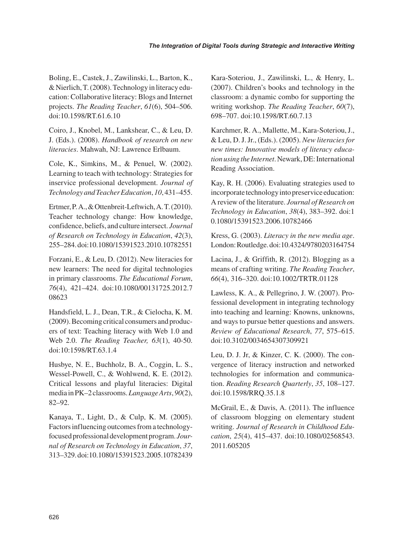Boling, E., Castek, J., Zawilinski, L., Barton, K., & Nierlich, T. (2008). Technology in literacy education: Collaborative literacy: Blogs and Internet projects. *The Reading Teacher*, *61*(6), 504–506. doi:10.1598/RT.61.6.10

Coiro, J., Knobel, M., Lankshear, C., & Leu, D. J. (Eds.). (2008). *Handbook of research on new literacies*. Mahwah, NJ: Lawrence Erlbaum.

Cole, K., Simkins, M., & Penuel, W. (2002). Learning to teach with technology: Strategies for inservice professional development. *Journal of Technology and Teacher Education*, *10*, 431–455.

Ertmer, P. A., & Ottenbreit-Leftwich, A. T. (2010). Teacher technology change: How knowledge, confidence, beliefs, and culture intersect. *Journal of Research on Technology in Education*, *42*(3), 255–284. doi:10.1080/15391523.2010.10782551

Forzani, E., & Leu, D. (2012). New literacies for new learners: The need for digital technologies in primary classrooms. *The Educational Forum*, *76*(4), 421–424. doi:10.1080/00131725.2012.7 08623

Handsfield, L. J., Dean, T.R., & Cielocha, K. M. (2009). Becoming critical consumers and producers of text: Teaching literacy with Web 1.0 and Web 2.0. *The Reading Teacher, 63*(1), 40-50. doi:10:1598/RT.63.1.4

Husbye, N. E., Buchholz, B. A., Coggin, L. S., Wessel-Powell, C., & Wohlwend, K. E. (2012). Critical lessons and playful literacies: Digital media in PK–2 classrooms. *Language Arts*, *90*(2), 82–92.

Kanaya, T., Light, D., & Culp, K. M. (2005). Factors influencing outcomes from a technologyfocused professional development program. *Journal of Research on Technology in Education*, *37*, 313–329. doi:10.1080/15391523.2005.10782439 Kara-Soteriou, J., Zawilinski, L., & Henry, L. (2007). Children's books and technology in the classroom: a dynamic combo for supporting the writing workshop. *The Reading Teacher*, *60*(7), 698–707. doi:10.1598/RT.60.7.13

Karchmer, R. A., Mallette, M., Kara-Soteriou, J., & Leu, D. J. Jr., (Eds.). (2005). *New literacies for new times: Innovative models of literacy education using the Internet*. Newark, DE: International Reading Association.

Kay, R. H. (2006). Evaluating strategies used to incorporate technology into preservice education: A review of the literature. *Journal of Research on Technology in Education*, *38*(4), 383–392. doi:1 0.1080/15391523.2006.10782466

Kress, G. (2003). *Literacy in the new media age*. London: Routledge. doi:10.4324/9780203164754

Lacina, J., & Griffith, R. (2012). Blogging as a means of crafting writing. *The Reading Teacher*, *66*(4), 316–320. doi:10.1002/TRTR.01128

Lawless, K. A., & Pellegrino, J. W. (2007). Professional development in integrating technology into teaching and learning: Knowns, unknowns, and ways to pursue better questions and answers. *Review of Educational Research*, *77*, 575–615. doi:10.3102/0034654307309921

Leu, D. J. Jr, & Kinzer, C. K. (2000). The convergence of literacy instruction and networked technologies for information and communication. *Reading Research Quarterly*, *35*, 108–127. doi:10.1598/RRQ.35.1.8

McGrail, E., & Davis, A. (2011). The influence of classroom blogging on elementary student writing. *Journal of Research in Childhood Education*, *25*(4), 415–437. doi:10.1080/02568543. 2011.605205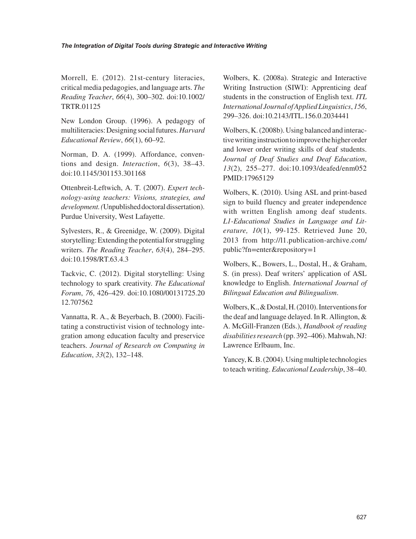Morrell, E. (2012). 21st-century literacies, critical media pedagogies, and language arts. *The Reading Teacher*, *66*(4), 300–302. doi:10.1002/ TRTR.01125

New London Group. (1996). A pedagogy of multiliteracies: Designing social futures. *Harvard Educational Review*, *66*(1), 60–92.

Norman, D. A. (1999). Affordance, conventions and design. *Interaction*, *6*(3), 38–43. doi:10.1145/301153.301168

Ottenbreit-Leftwich, A. T. (2007). *Expert technology-using teachers: Visions, strategies, and development. (*Unpublished doctoral dissertation). Purdue University, West Lafayette.

Sylvesters, R., & Greenidge, W. (2009). Digital storytelling: Extending the potential for struggling writers. *The Reading Teacher*, *63*(4), 284–295. doi:10.1598/RT.63.4.3

Tackvic, C. (2012). Digital storytelling: Using technology to spark creativity. *The Educational Forum*, *76*, 426–429. doi:10.1080/00131725.20 12.707562

Vannatta, R. A., & Beyerbach, B. (2000). Facilitating a constructivist vision of technology integration among education faculty and preservice teachers. *Journal of Research on Computing in Education*, *33*(2), 132–148.

Wolbers, K. (2008a). Strategic and Interactive Writing Instruction (SIWI): Apprenticing deaf students in the construction of English text. *ITL International Journal of Applied Linguistics*, *156*, 299–326. doi:10.2143/ITL.156.0.2034441

Wolbers, K. (2008b). Using balanced and interactive writing instruction to improve the higher order and lower order writing skills of deaf students. *Journal of Deaf Studies and Deaf Education*, *13*(2), 255–277. doi:10.1093/deafed/enm052 PMID:17965129

Wolbers, K. (2010). Using ASL and print-based sign to build fluency and greater independence with written English among deaf students. *L1-Educational Studies in Language and Literature, 10*(1), 99-125. Retrieved June 20, 2013 from http://l1.publication-archive.com/ public?fn=enter&repository=1

Wolbers, K., Bowers, L., Dostal, H., & Graham, S. (in press). Deaf writers' application of ASL knowledge to English. *International Journal of Bilingual Education and Bilingualism*.

Wolbers, K., & Dostal, H. (2010). Interventions for the deaf and language delayed. In R. Allington, & A. McGill-Franzen (Eds.), *Handbook of reading disabilities research* (pp. 392–406). Mahwah, NJ: Lawrence Erlbaum, Inc.

Yancey, K. B. (2004). Using multiple technologies to teach writing. *Educational Leadership*, 38–40.